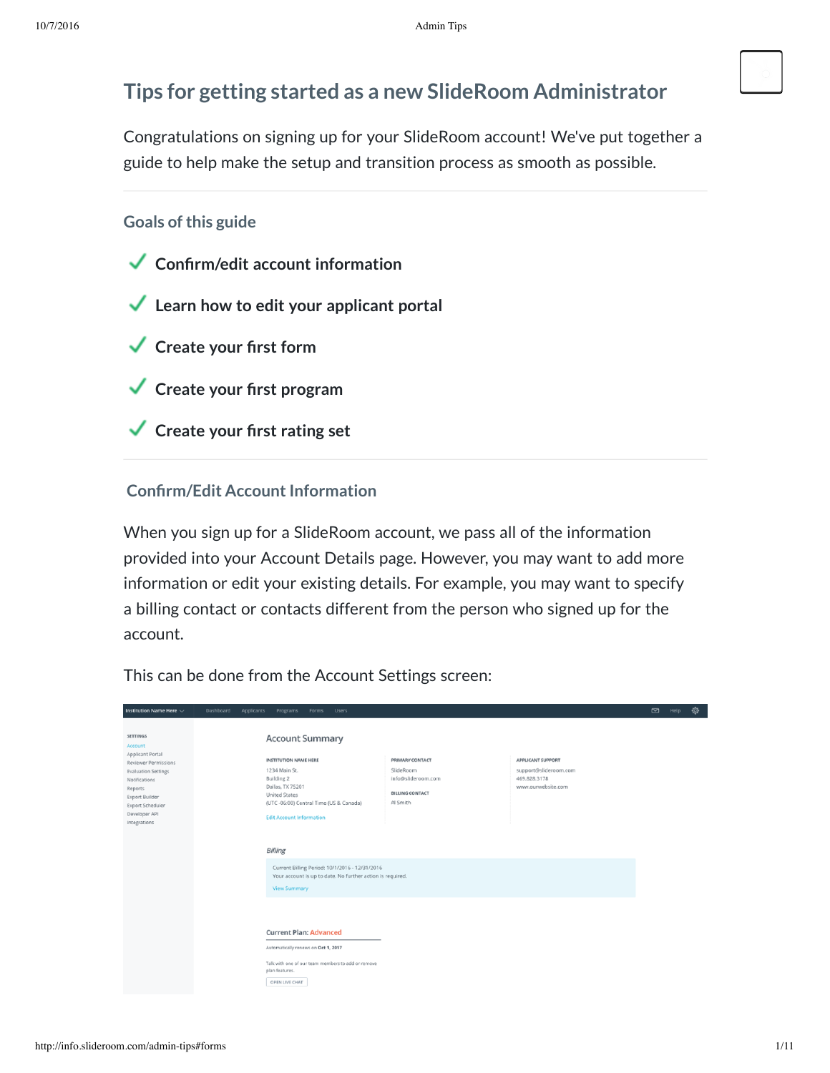# **Tips for getting started as a new SlideRoom Administrator**

Congratulations on signing up for your SlideRoom account! We've put together a guide to help make the setup and transition process as smooth as possible.

# **Goals** of this guide

- **Conrm/edit account information**
- **Learn how to edit your applicant portal**
- **Create your rst form**
- **Create your rst program**
- **Create your rst rating set**

# **Confirm/Edit Account Information**

When you sign up for a SlideRoom account, we pass all of the information provided into your Account Details page. However, you may want to add more information or edit your existing details. For example, you may want to specify a billing contact or contacts different from the person who signed up for the account.

This can be done from the Account Settings screen:

| Institution Name Here $\sim$                                                                                                                                                                                   | Dashboard<br>Applicants<br>Programs<br><b>Users</b><br>Forms                                                                                                                                                           |                                                                                          |                                                                                         | $\Box$ | Help | ◎ |
|----------------------------------------------------------------------------------------------------------------------------------------------------------------------------------------------------------------|------------------------------------------------------------------------------------------------------------------------------------------------------------------------------------------------------------------------|------------------------------------------------------------------------------------------|-----------------------------------------------------------------------------------------|--------|------|---|
| SETTINGS<br>Account<br>Applicant Portal<br>Reviewer Permissions<br><b>Evaluation Settings</b><br>Notifications<br>Reports<br><b>Export Builder</b><br><b>Export Scheduler</b><br>Developer API<br>Integrations | <b>Account Summary</b><br><b>INSTITUTION NAME HERE</b><br>1234 Main St.<br><b>Building 2</b><br>Dallas, TX 75201<br><b>United States</b><br>(UTC -06:00) Central Time (US & Canada)<br><b>Edit Account Information</b> | PRIMARY CONTACT<br>SlideRoom<br>info@slideroom.com<br><b>BILLING CONTACT</b><br>Al Smith | <b>APPLICANT SUPPORT</b><br>support@slideroom.com<br>469.828.3178<br>www.ourwebsite.com |        |      |   |
|                                                                                                                                                                                                                | <b>Billing</b>                                                                                                                                                                                                         |                                                                                          |                                                                                         |        |      |   |
|                                                                                                                                                                                                                | Current Billing Period: 10/1/2016 - 12/31/2016<br>Your account is up to date. No further action is required.<br><b>View Summary</b>                                                                                    |                                                                                          |                                                                                         |        |      |   |
|                                                                                                                                                                                                                | <b>Current Plan: Advanced</b><br>Automatically renews on Oct 1, 2017<br>Talk with one of our team members to add or remove<br>plan features.<br>OPEN LIVE CHAT                                                         |                                                                                          |                                                                                         |        |      |   |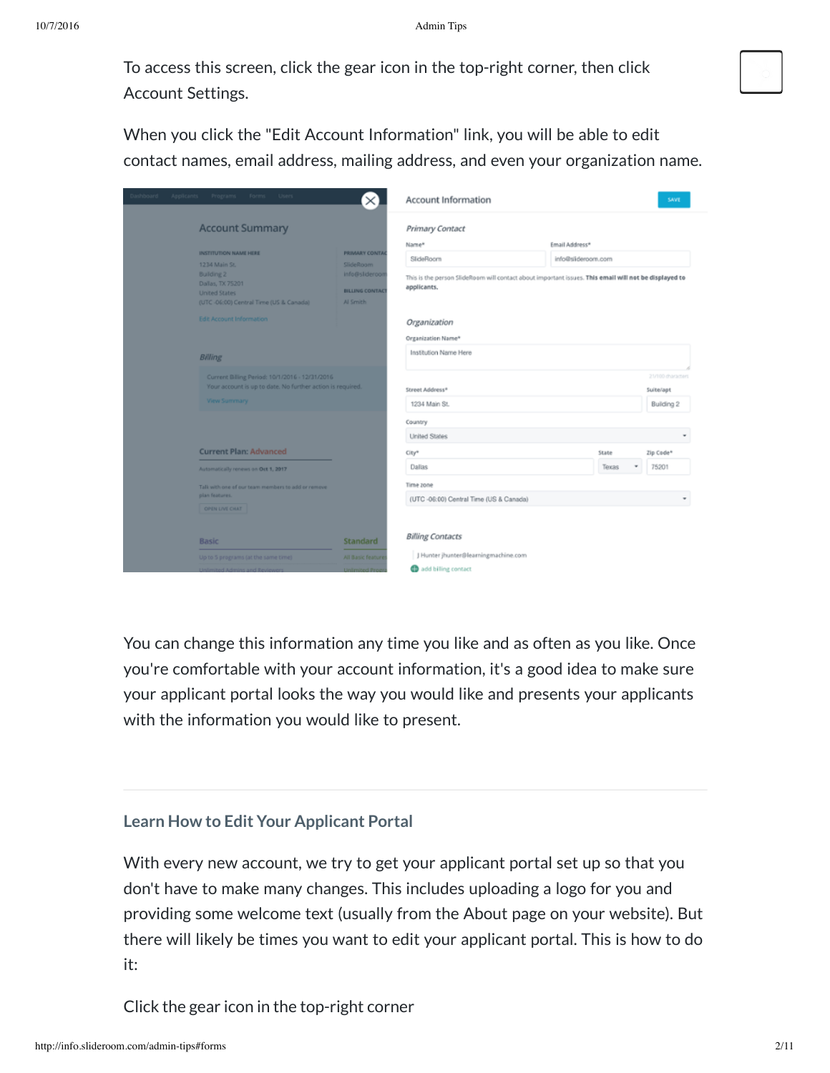To access this screen, click the gear icon in the top-right corner, then click Account Settings.

When you click the "Edit Account Information" link, you will be able to edit contact names, email address, mailing address, and even your organization name.

| Dashboard Applicants Programs Forms Users                                                                                                                                                   |                                                                                     | <b>Account Information</b>                                      |                                                                                                                                                                                                    | SAVE                                         |  |  |
|---------------------------------------------------------------------------------------------------------------------------------------------------------------------------------------------|-------------------------------------------------------------------------------------|-----------------------------------------------------------------|----------------------------------------------------------------------------------------------------------------------------------------------------------------------------------------------------|----------------------------------------------|--|--|
| <b>Account Summary</b>                                                                                                                                                                      |                                                                                     | Primary Contact                                                 |                                                                                                                                                                                                    |                                              |  |  |
| <b>INSTITUTION NAME HERE</b><br>1234 Main St.<br><b>Building 2</b><br>Dallas, TX 75201<br><b>United States</b><br>(UTC-06:00) Central Time (US & Canada)<br><b>Edit Account Information</b> | <b>PRIMARY CONTAC</b><br>SlideRoom<br>info@slideroom<br>BILLING CONTACT<br>Al Smith |                                                                 | Name*<br>Email Address*<br>SlideRoom<br>info@slideroom.com<br>This is the person SlideRoom will contact about important issues. This email will not be displayed to<br>applicants.<br>Organization |                                              |  |  |
| <b>Billing</b>                                                                                                                                                                              |                                                                                     | Organization Name*<br>Institution Name Here                     |                                                                                                                                                                                                    |                                              |  |  |
| Current Billing Period: 10/1/2016 - 12/31/2016<br>Your account is up to date. No further action is required.<br><b>View Summary</b>                                                         |                                                                                     | Street Address*<br>1234 Main St.                                |                                                                                                                                                                                                    | 21/100 characters<br>Suite/apt<br>Building 2 |  |  |
|                                                                                                                                                                                             |                                                                                     | Country<br><b>United States</b>                                 |                                                                                                                                                                                                    |                                              |  |  |
| <b>Current Plan: Advanced</b><br>Automatically renews on Oct 1, 2017                                                                                                                        |                                                                                     | City*<br>Dallas                                                 | State<br>Texas<br>٠                                                                                                                                                                                | Zip Code*<br>75201                           |  |  |
| Talk with one of our team members to add or remove<br>plan features.<br><b>OPEN LIVE CHAT</b>                                                                                               |                                                                                     | Time zone<br>(UTC -06:00) Central Time (US & Canada)            |                                                                                                                                                                                                    |                                              |  |  |
| <b>Basic</b><br>Up to 5 programs (at the same time)                                                                                                                                         | Standard<br>All Basic feature                                                       | <b>Billing Contacts</b><br>J Hunter jhunter@learningmachine.com |                                                                                                                                                                                                    |                                              |  |  |
|                                                                                                                                                                                             | <b>Infimited Pro</b>                                                                | add billing contact                                             |                                                                                                                                                                                                    |                                              |  |  |

You can change this information any time you like and as often as you like. Once you're comfortable with your account information, it's a good idea to make sure your applicant portal looks the way you would like and presents your applicants with the information you would like to present.

# **Learn How to Edit Your Applicant Portal**

With every new account, we try to get your applicant portal set up so that you don't have to make many changes. This includes uploading a logo for you and providing some welcome text (usually from the About page on your website). But there will likely be times you want to edit your applicant portal. This is how to do it:

Click the gear icon in the top-right corner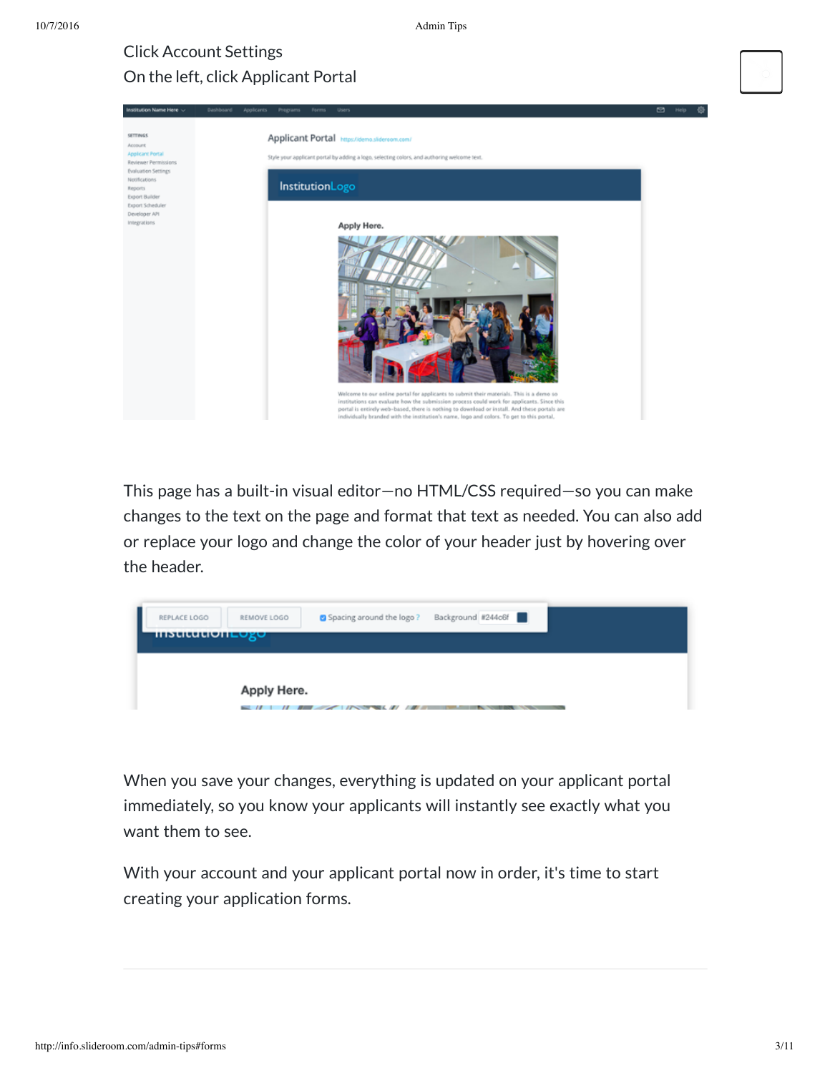◎

# Click Account Settings On the left, click Applicant Portal

| Institution Name Here ~                                                                                                                        | Dashbsard<br>Applicants<br>Programs<br>Forms<br>Users                                                                                                                                                                                                                                                                                                                               | $\circ$<br>Hel |
|------------------------------------------------------------------------------------------------------------------------------------------------|-------------------------------------------------------------------------------------------------------------------------------------------------------------------------------------------------------------------------------------------------------------------------------------------------------------------------------------------------------------------------------------|----------------|
| <b>SETTINGS</b><br><b>Account</b><br><b>Applicant Portal</b><br>Reviewer Permissions<br><b>Evaluation Settings</b><br>Notifications<br>Reports | Applicant Portal https://demo.slidereom.com/<br>Style your applicant portal by adding a logo, selecting colors, and authoring welcome text.<br>InstitutionLogo                                                                                                                                                                                                                      |                |
| <b>Export Builder</b><br>Export Scheduler<br>Developer API<br>Integrations                                                                     | Apply Here.                                                                                                                                                                                                                                                                                                                                                                         |                |
|                                                                                                                                                | Welcome to our online portal for applicants to submit their materials. This is a demo so<br>institutions can evaluate how the submission process could work for applicants. Since this<br>portal is entirely web-based, there is nothing to download or install. And these portals are<br>individually branded with the institution's name, logo and colors. To get to this portal, |                |

This page has a built-in visual editor—no HTML/CSS required—so you can make changes to the text on the page and format that text as needed. You can also add or replace your logo and change the color of your header just by hovering over the header.



When you save your changes, everything is updated on your applicant portal immediately, so you know your applicants will instantly see exactly what you want them to see.

With your account and your applicant portal now in order, it's time to start creating your application forms.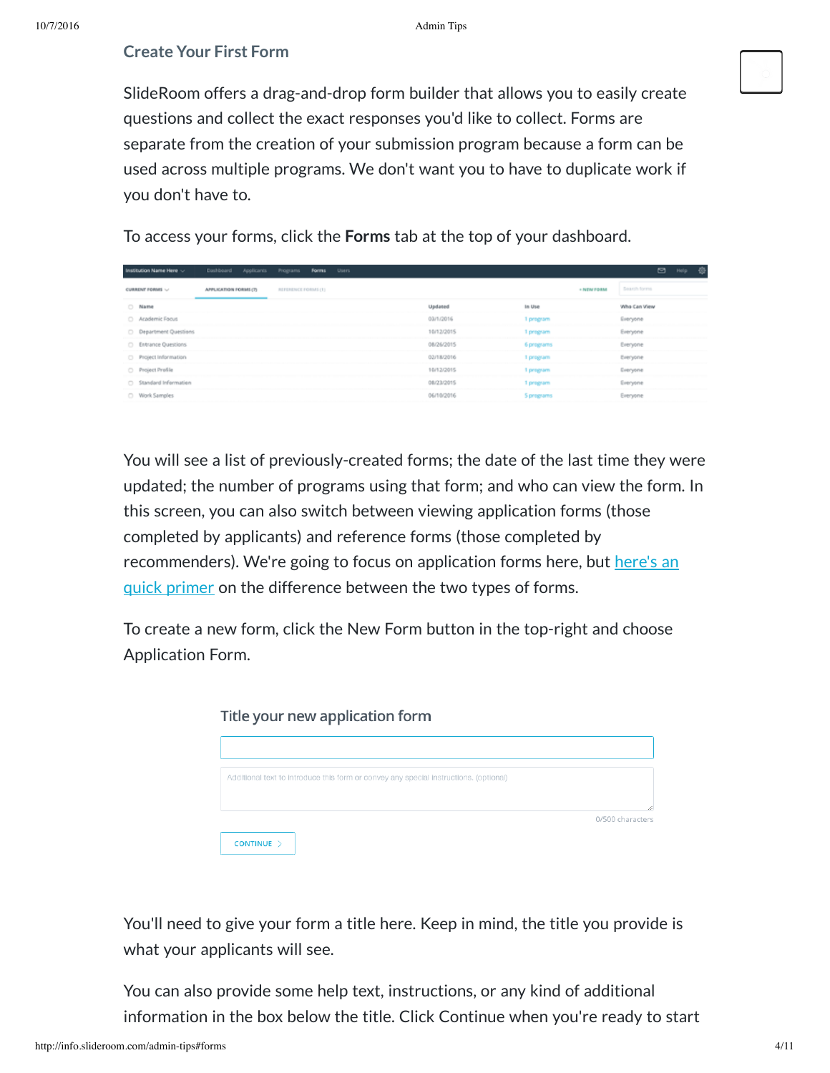### **Create Your First Form**

SlideRoom offers a drag-and-drop form builder that allows you to easily create questions and collect the exact responses you'd like to collect. Forms are separate from the creation of your submission program because a form can be used across multiple programs. We don't want you to have to duplicate work if you don't have to.

To access your forms, click the **Forms** tab at the top of your dashboard.

| Institution Name Here ~       | Dashboard             | Applicants Programs Forms Users |  |            |            |            | $\Box$       | Help | 确 |
|-------------------------------|-----------------------|---------------------------------|--|------------|------------|------------|--------------|------|---|
| CURRENT FORMS                 | APPLICATION FORMS (7) | REFERENCE FORMS (1)             |  |            |            | + NEW FORM | Search forms |      |   |
| C Name                        |                       |                                 |  | Updated    | In Use     |            | Who Can View |      |   |
| Academic Focus                |                       |                                 |  | 03/1/2016  | 1 program  |            | Everyone     |      |   |
| <b>C</b> Department Questions |                       |                                 |  | 10/12/2015 | 1 program  |            | Everyone     |      |   |
| C Entrance Questions          |                       |                                 |  | 08/26/2015 | 6 programs |            | Everyone     |      |   |
| Project Information           |                       |                                 |  | 02/18/2016 | 1 program  |            | Everyone     |      |   |
| Project Profile               |                       |                                 |  | 10/12/2015 | 1 program  |            | Everyone     |      |   |
| Standard Information          |                       |                                 |  | 08/23/2015 | 1 program  |            | Everyone     |      |   |
| O Work Samples                |                       |                                 |  | 06/10/2016 | 5 programs |            | Everyone     |      |   |

You will see a list of previously-created forms; the date of the last time they were updated; the number of programs using that form; and who can view the form. In this screen, you can also switch between viewing application forms (those completed by applicants) and reference forms (those completed by [recommenders\).](https://clientsupport.slideroom.com/customer/portal/articles/2090941-form-types-application-and-reference) We're going to focus on application forms here, but here's an quick primer on the difference between the two types of forms.

To create a new form, click the New Form button in the top-right and choose Application Form.

| Title your new application form                                                       |                  |  |  |  |
|---------------------------------------------------------------------------------------|------------------|--|--|--|
|                                                                                       |                  |  |  |  |
|                                                                                       |                  |  |  |  |
| Additional text to introduce this form or convey any special instructions. (optional) |                  |  |  |  |
|                                                                                       |                  |  |  |  |
|                                                                                       | 0/500 characters |  |  |  |
| CONTINUE >                                                                            |                  |  |  |  |

You'll need to give your form a title here. Keep in mind, the title you provide is what your applicants will see.

You can also provide some help text, instructions, or any kind of additional information in the box below the title. Click Continue when you're ready to start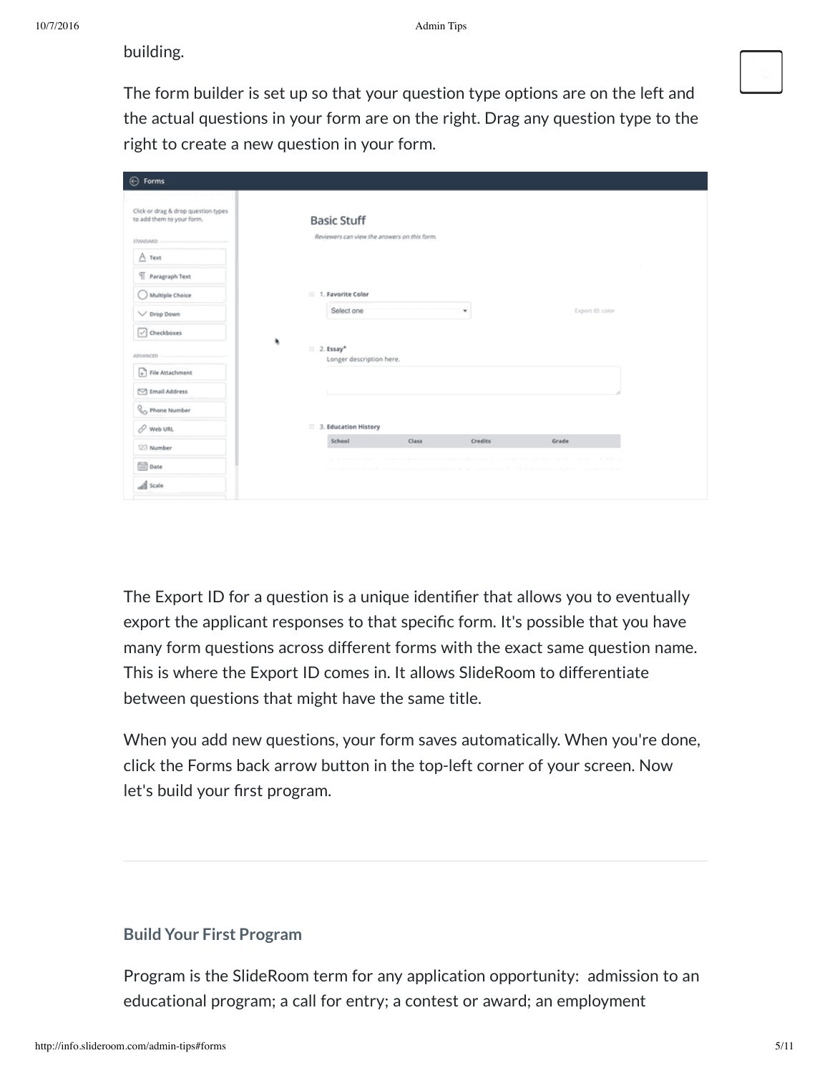building.

The form builder is set up so that your question type options are on the left and the actual questions in your form are on the right. Drag any question type to the right to create a new question in your form.

| $\bigoplus$ Forms                                                                   |                                                                    |       |         |                  |
|-------------------------------------------------------------------------------------|--------------------------------------------------------------------|-------|---------|------------------|
| Click or drag & drop question types<br>to add them to your form.<br><b>STANDARD</b> | <b>Basic Stuff</b><br>Reviewers can view the answers on this form. |       |         |                  |
| $A$ Text<br>Paragraph Text                                                          |                                                                    |       |         |                  |
| Multiple Choice<br>V Drop Down                                                      | 1. Favorite Color<br>Select one                                    |       | ۰       | Export ID: color |
| Checkbaxes                                                                          | ۰<br>$\equiv 2.$ Essay*                                            |       |         |                  |
| ADVANCED<br>$\leftarrow$ File Attachment                                            | Longer description here.                                           |       |         |                  |
| M Email Address<br>Phone Number                                                     |                                                                    |       |         |                  |
| P. Web URL                                                                          | $\equiv$ 3. Education History                                      |       |         |                  |
| 123 Number                                                                          | School                                                             | Class | Credits | Grade            |
| <b>Date</b>                                                                         |                                                                    |       |         |                  |
| all scale                                                                           |                                                                    |       |         |                  |

The Export ID for a question is a unique identifier that allows you to eventually export the applicant responses to that specific form. It's possible that you have many form questions across different forms with the exact same question name. This is where the Export ID comes in. It allows SlideRoom to differentiate between questions that might have the same title.

When you add new questions, your form saves automatically. When you're done, click the Forms back arrow button in the top-left corner of your screen. Now let's build your first program.

# **Build Your First Program**

Program is the SlideRoom term for any application opportunity: admission to an educational program; a call for entry; a contest or award; an employment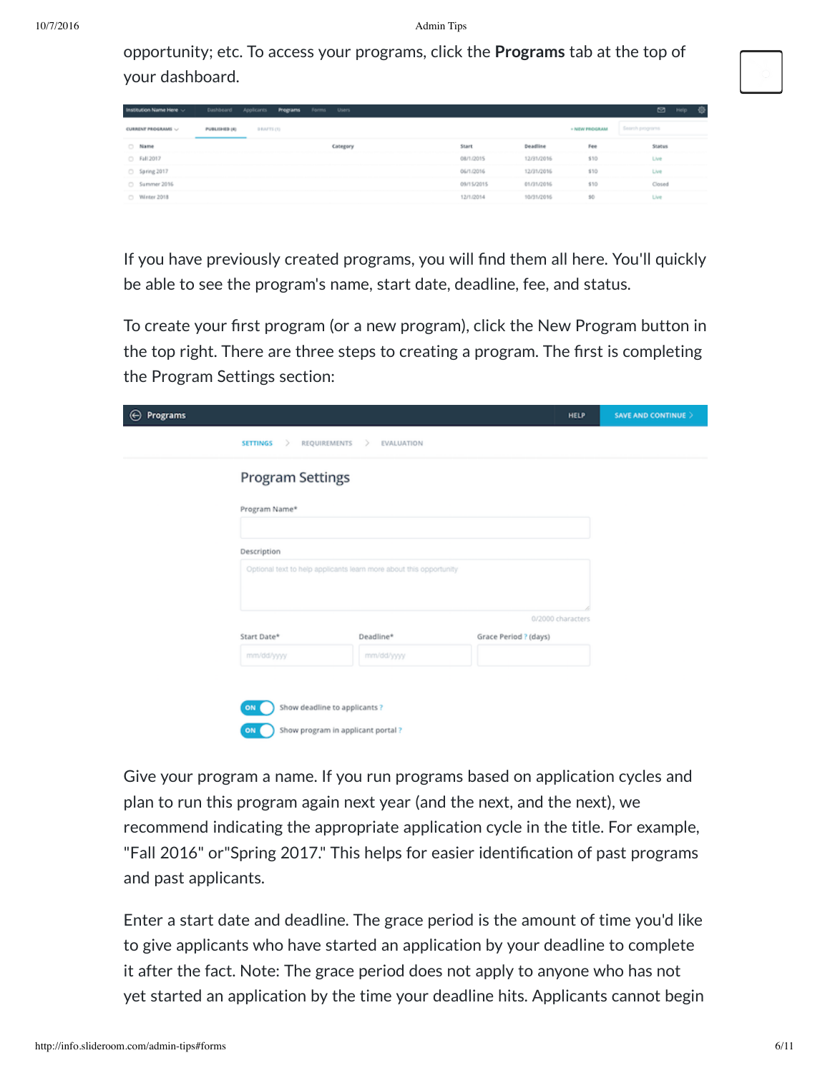opportunity; etc. To access your programs, click the **Programs** tab at the top of your dashboard.

| Institution Name Here ~   |               | Dashboard Applicants Programs Forms Users |          |            |            |                      | ◙<br>€<br>Help. |
|---------------------------|---------------|-------------------------------------------|----------|------------|------------|----------------------|-----------------|
| <b>CURRENT PROGRAMS V</b> | PUBLISHED (4) | D RAFTS (T)                               |          |            |            | <b>- NEW PROGRAM</b> | Search programs |
| C Name                    |               |                                           | Category | Start      | Deadline   | Fee                  | Status          |
| C Fall 2017               |               |                                           |          | 08/1/2015  | 12/31/2016 | \$10                 | Live            |
| Spring 2017               |               |                                           |          | 06/1/2016  | 12/31/2016 | \$10                 | Live            |
| Summer 2016               |               |                                           |          | 09/15/2015 | 01/31/2016 | \$10                 | Closed          |
| Winter 2018               |               |                                           |          | 12/1/2014  | 10/31/2016 | 50                   | Live            |

If you have previously created programs, you will find them all here. You'll quickly be able to see the program's name, start date, deadline, fee, and status.

To create your first program (or a new program), click the New Program button in the top right. There are three steps to creating a program. The first is completing the Program Settings section:

| $_{\odot}$<br><b>Programs</b> |                                                                    |                   | <b>HELP</b>           | SAVE AND CONTINUE > |
|-------------------------------|--------------------------------------------------------------------|-------------------|-----------------------|---------------------|
|                               | <b>SETTINGS</b><br>REQUIREMENTS ><br>$\rightarrow$                 | <b>EVALUATION</b> |                       |                     |
|                               | <b>Program Settings</b>                                            |                   |                       |                     |
|                               | Program Name*                                                      |                   |                       |                     |
|                               | Description                                                        |                   |                       |                     |
|                               | Optional text to help applicants learn more about this opportunity |                   |                       |                     |
|                               |                                                                    |                   | 0/2000 characters     |                     |
|                               | Start Date*                                                        | Deadline*         | Grace Period ? (days) |                     |
|                               | mm/dd/yyyy                                                         | mm/dd/yyyy        |                       |                     |
|                               |                                                                    |                   |                       |                     |
|                               | Show deadline to applicants?<br>ON                                 |                   |                       |                     |
|                               | Show program in applicant portal?<br>ON                            |                   |                       |                     |

Give your program a name. If you run programs based on application cycles and plan to run this program again next year (and the next, and the next), we recommend indicating the appropriate application cycle in the title. For example, "Fall 2016" or "Spring 2017." This helps for easier identification of past programs and past applicants.

Enter a start date and deadline. The grace period is the amount of time you'd like to give applicants who have started an application by your deadline to complete it after the fact. Note: The grace period does not apply to anyone who has not yet started an application by the time your deadline hits. Applicants cannot begin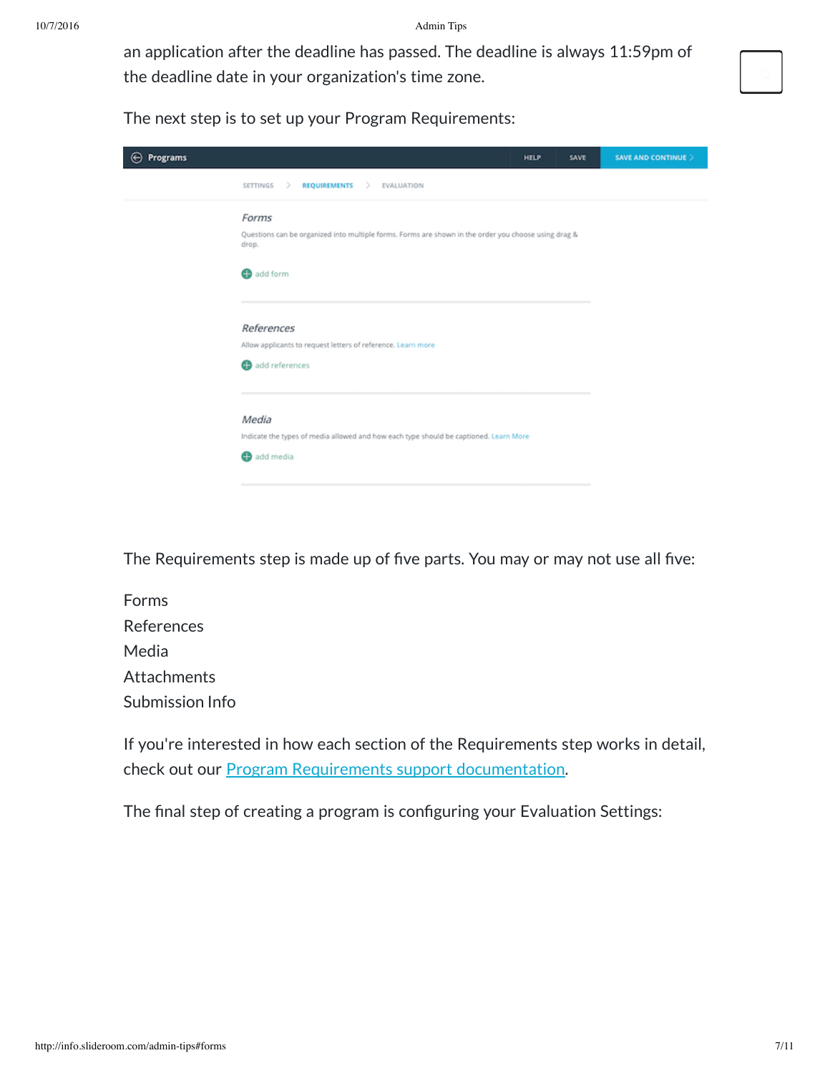10/7/2016 Admin Tips

an application after the deadline has passed. The deadline is always 11:59pm of the deadline date in your organization's time zone.



The next step is to set up your Program Requirements:

| $\bigoplus$ Programs                                                                                                               | <b>HELP</b> | SAVE | SAVE AND CONTINUE > |
|------------------------------------------------------------------------------------------------------------------------------------|-------------|------|---------------------|
| <b>REQUIREMENTS</b><br>$\rightarrow$<br>SETTINGS<br>EVALUATION<br>- >                                                              |             |      |                     |
| Forms<br>Questions can be organized into multiple forms. Forms are shown in the order you choose using drag &<br>drop.<br>add form |             |      |                     |
| References<br>Allow applicants to request letters of reference. Learn more<br>add references                                       |             |      |                     |
| Media<br>Indicate the types of media allowed and how each type should be captioned. Learn More<br>add media                        |             |      |                     |

The Requirements step is made up of five parts. You may or may not use all five:

Forms References Media Attachments Submission Info

If you're interested in how each section of the Requirements step works in detail, check out our Program Requirements support [documentation.](https://clientsupport.slideroom.com/customer/portal/articles/2092403)

The final step of creating a program is configuring your Evaluation Settings: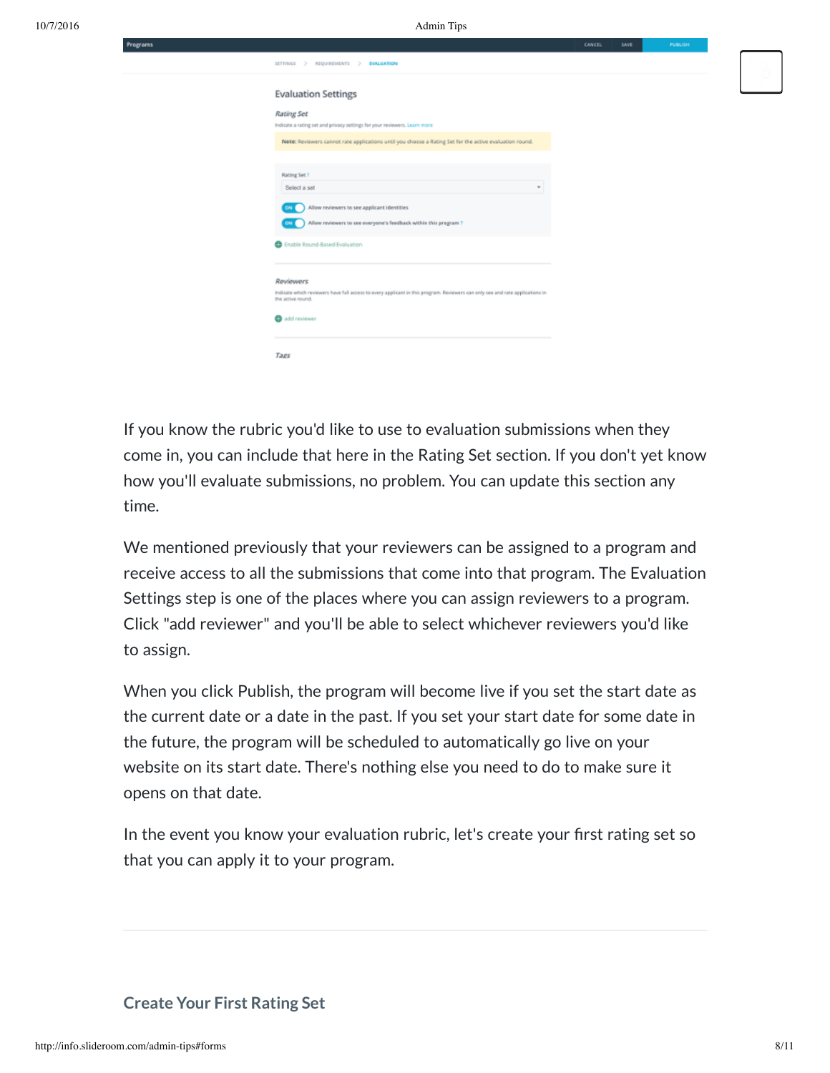10/7/2016 Admin Tips

|                                                                                                                                                                 | SAVE<br>CANCEL. | PUBLISH |
|-----------------------------------------------------------------------------------------------------------------------------------------------------------------|-----------------|---------|
| SETTINGS > REQUIREMENTS > EVALUATION                                                                                                                            |                 |         |
|                                                                                                                                                                 |                 |         |
| <b>Evaluation Settings</b>                                                                                                                                      |                 |         |
| Rating Set<br>Indicate a rating set and privacy settings for your reviewers. Learn more                                                                         |                 |         |
| Note: Reviewers cannot rate applications until you choose a Rating Set for the active evaluation round.                                                         |                 |         |
|                                                                                                                                                                 |                 |         |
| Rating Set?<br>Select a set                                                                                                                                     | w               |         |
| Allow reviewers to see applicant identities<br>ON I                                                                                                             |                 |         |
| Allow reviewers to see everyone's feedback within this pregram?<br>ON I                                                                                         |                 |         |
| B Enable Round-Based Evaluation                                                                                                                                 |                 |         |
|                                                                                                                                                                 |                 |         |
| Reviewers<br>Indicate which reviewers have full access to every applicant in this program. Reviewers can only see and rate applications in<br>the active round. |                 |         |
| add reviewer                                                                                                                                                    |                 |         |
|                                                                                                                                                                 |                 |         |
| Tage                                                                                                                                                            |                 |         |

If you know the rubric you'd like to use to evaluation submissions when they come in, you can include that here in the Rating Set section. If you don't yet know how you'll evaluate submissions, no problem. You can update this section any time.

We mentioned previously that your reviewers can be assigned to a program and receive access to all the submissions that come into that program. The Evaluation Settings step is one of the places where you can assign reviewers to a program. Click "add reviewer" and you'll be able to select whichever reviewers you'd like to assign.

When you click Publish, the program will become live if you set the start date as the current date or a date in the past. If you set your start date for some date in the future, the program will be scheduled to automatically go live on your website on its start date. There's nothing else you need to do to make sure it opens on that date.

In the event you know your evaluation rubric, let's create your first rating set so that you can apply it to your program.

#### **Create Your First Rating Set**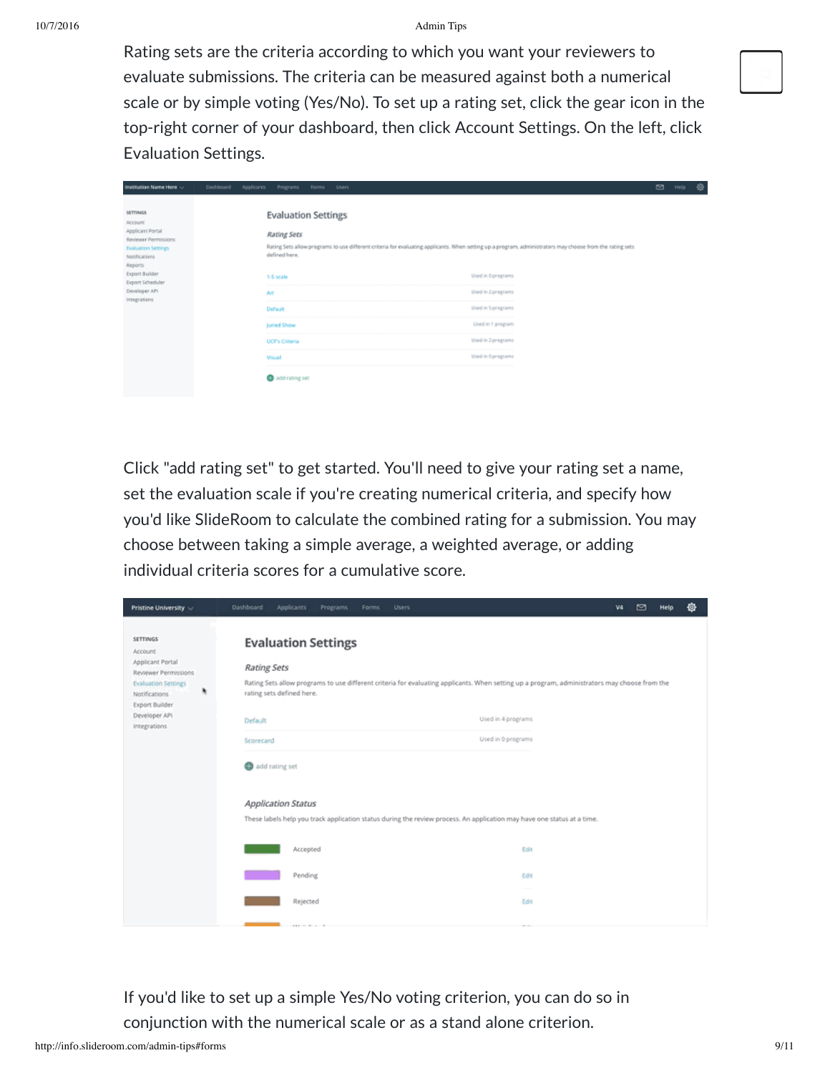#### 10/7/2016 Admin Tips

Rating sets are the criteria according to which you want your reviewers to evaluate submissions. The criteria can be measured against both a numerical scale or by simple voting (Yes/No). To set up a rating set, click the gear icon in the top-right corner of your dashboard, then click Account Settings. On the left, click Evaluation Settings.

| Institution Name Here ~<br>Dashboard<br>Applicants Programs                                                                                                                                                                                              | Forms<br><b>Users</b>                                                                                                                                                                                                                                                                                                                                                                                                     | ◙ | Help | 壺 |
|----------------------------------------------------------------------------------------------------------------------------------------------------------------------------------------------------------------------------------------------------------|---------------------------------------------------------------------------------------------------------------------------------------------------------------------------------------------------------------------------------------------------------------------------------------------------------------------------------------------------------------------------------------------------------------------------|---|------|---|
| <b>SETTINGS</b><br><b>Account</b><br>Applicant Portal<br>Reviewer Permissions<br><b>Evaluation Settings</b><br>Notifications.<br>Reports<br>Export Builder<br>1-5 scale<br>Export Scheduler<br>Developer API<br>Art<br>Integrations<br>Default<br>Viscal | <b>Evaluation Settings</b><br><b>Rating Sets</b><br>Rating Sets allow programs to use different criteria for evaluating applicants. When setting up a program, administrators may choose from the rating sets<br>defined here.<br>Used in Oprograms<br>Used in 2 pregrams<br>Used in 5 pregrams<br>Used in 1 program<br>Juried Show<br>Used in 2 pregrams<br><b>UCF's Criteria</b><br>Used in Opregrams<br>add rating set |   |      |   |

Click "add rating set" to get started. You'll need to give your rating set a name, set the evaluation scale if you're creating numerical criteria, and specify how you'd like SlideRoom to calculate the combined rating for a submission. You may choose between taking a simple average, a weighted average, or adding individual criteria scores for a cumulative score.

| Pristine University ~                              | 壺<br>◙<br>Dashboard<br>Applicants<br>Programs<br>Forms<br><b>Users</b><br>V4<br>Help                                                                                |  |
|----------------------------------------------------|---------------------------------------------------------------------------------------------------------------------------------------------------------------------|--|
| <b>SETTINGS</b><br>Account<br>Applicant Portal     | <b>Evaluation Settings</b>                                                                                                                                          |  |
| Reviewer Permissions<br><b>Evaluation Settings</b> | <b>Rating Sets</b><br>Rating Sets allow programs to use different criteria for evaluating applicants. When setting up a program, administrators may choose from the |  |
| ٠<br>Notifications<br><b>Export Builder</b>        | rating sets defined here.                                                                                                                                           |  |
| Developer API<br>Integrations                      | Used in 4 programs<br>Default                                                                                                                                       |  |
|                                                    | Used in 0 programs<br>Scorecard                                                                                                                                     |  |
|                                                    | add rating set                                                                                                                                                      |  |
|                                                    | <b>Application Status</b>                                                                                                                                           |  |
|                                                    | These labels help you track application status during the review process. An application may have one status at a time.                                             |  |
|                                                    | Accepted<br>Edit                                                                                                                                                    |  |
|                                                    | Pending<br>Edit                                                                                                                                                     |  |
|                                                    | Rejected<br>Edit                                                                                                                                                    |  |
|                                                    |                                                                                                                                                                     |  |

If you'd like to set up a simple Yes/No voting criterion, you can do so in conjunction with the numerical scale or as a stand alone criterion.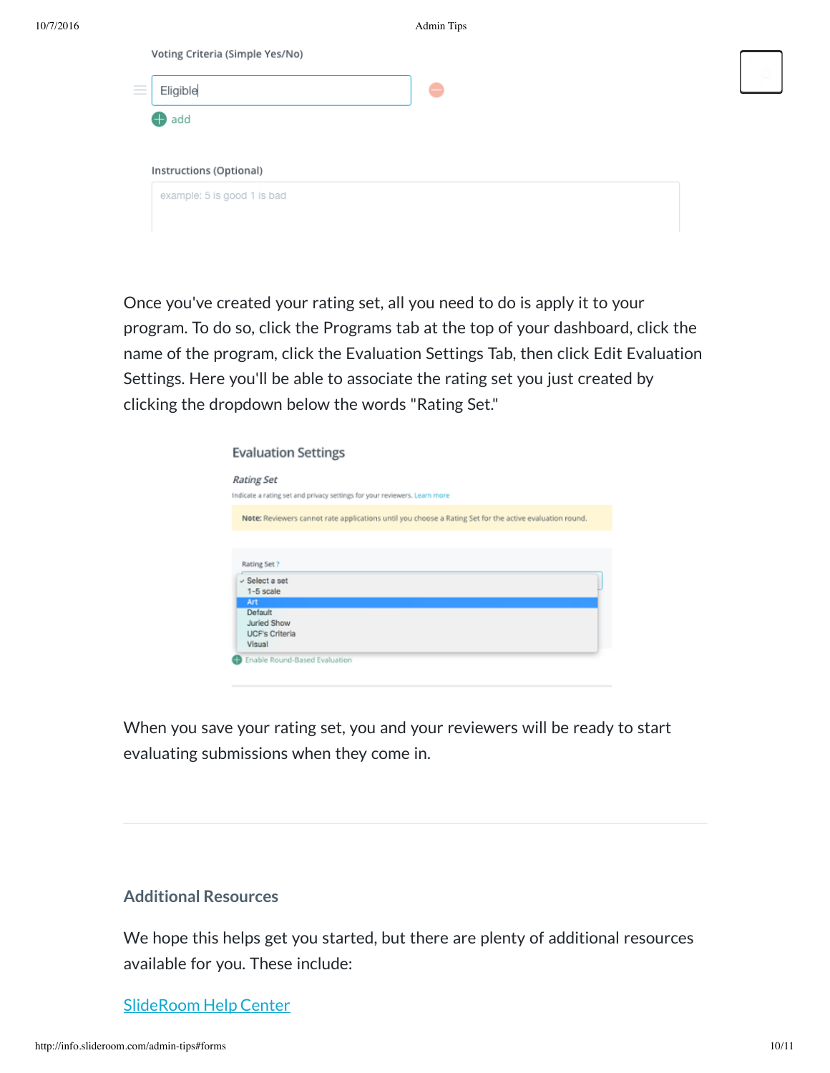| Eligible                    | ۰                                                                             |
|-----------------------------|-------------------------------------------------------------------------------|
|                             |                                                                               |
|                             |                                                                               |
|                             |                                                                               |
| example: 5 is good 1 is bad |                                                                               |
|                             | Voting Criteria (Simple Yes/No)<br>$\bigoplus$ add<br>Instructions (Optional) |

Once you've created your rating set, all you need to do is apply it to your program. To do so, click the Programs tab at the top of your dashboard, click the name of the program, click the Evaluation Settings Tab, then click Edit Evaluation Settings. Here you'll be able to associate the rating set you just created by clicking the dropdown below the words "Rating Set."

| <b>Evaluation Settings</b>                      |                                                                                                         |
|-------------------------------------------------|---------------------------------------------------------------------------------------------------------|
| <b>Rating Set</b>                               |                                                                                                         |
|                                                 | Indicate a rating set and privacy settings for your reviewers. Learn more                               |
|                                                 | Note: Reviewers cannot rate applications until you choose a Rating Set for the active evaluation round. |
|                                                 |                                                                                                         |
|                                                 |                                                                                                         |
| Rating Set?<br>$\vee$ Select a set<br>1-5 scale |                                                                                                         |
| Art                                             |                                                                                                         |
| Default                                         |                                                                                                         |
| Juried Show<br><b>UCF's Criteria</b>            |                                                                                                         |

When you save your rating set, you and your reviewers will be ready to start evaluating submissions when they come in.

# **Additional Resources**

We hope this helps get you started, but there are plenty of additional resources available for you. These include:

#### [SlideRoom](https://clientsupport.slideroom.com/) Help Center